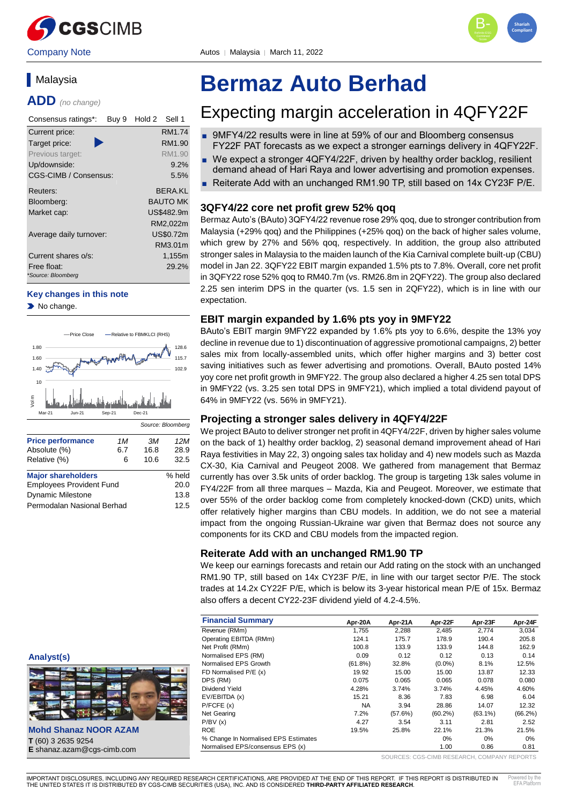



# **Malaysia**

**ADD** *(no change)*

| Consensus ratings*:<br>Buy 9      | Hold 2<br>Sell 1 |
|-----------------------------------|------------------|
| Current price:                    | RM1.74           |
| Target price:                     | RM1.90           |
| Previous target:                  | RM1.90           |
| Up/downside:                      | 9.2%             |
| CGS-CIMB / Consensus:             | 5.5%             |
| Reuters:                          | BERA KI          |
| Bloomberg:                        | <b>BAUTO MK</b>  |
| Market cap:                       | US\$482.9m       |
|                                   | RM2,022m         |
| Average daily turnover:           | US\$0.72m        |
|                                   | RM3.01m          |
| Current shares o/s:               | 1,155m           |
| Free float:<br>*Source: Bloomberg | 29.2%            |

#### **Key changes in this note**

No change.



| <b>Major shareholders</b>       | % held |
|---------------------------------|--------|
| <b>Employees Provident Fund</b> | 20.0   |
| <b>Dynamic Milestone</b>        | 13.8   |
| Permodalan Nasional Berhad      | 12.5   |
|                                 |        |

# **Bermaz Auto Berhad**

# Expecting margin acceleration in 4QFY22F

- 9MFY4/22 results were in line at 59% of our and Bloomberg consensus FY22F PAT forecasts as we expect a stronger earnings delivery in 4QFY22F.
- We expect a stronger 4QFY4/22F, driven by healthy order backlog, resilient demand ahead of Hari Raya and lower advertising and promotion expenses.
- Reiterate Add with an unchanged RM1.90 TP, still based on 14x CY23F P/E.

#### **3QFY4/22 core net profit grew 52% qoq**

Bermaz Auto's (BAuto) 3QFY4/22 revenue rose 29% qoq, due to stronger contribution from Malaysia (+29% qoq) and the Philippines (+25% qoq) on the back of higher sales volume, which grew by 27% and 56% qoq, respectively. In addition, the group also attributed stronger sales in Malaysia to the maiden launch of the Kia Carnival complete built-up (CBU) model in Jan 22. 3QFY22 EBIT margin expanded 1.5% pts to 7.8%. Overall, core net profit in 3QFY22 rose 52% qoq to RM40.7m (vs. RM26.8m in 2QFY22). The group also declared 2.25 sen interim DPS in the quarter (vs. 1.5 sen in 2QFY22), which is in line with our expectation.

#### **EBIT margin expanded by 1.6% pts yoy in 9MFY22**

BAuto's EBIT margin 9MFY22 expanded by 1.6% pts yoy to 6.6%, despite the 13% yoy decline in revenue due to 1) discontinuation of aggressive promotional campaigns, 2) better sales mix from locally-assembled units, which offer higher margins and 3) better cost saving initiatives such as fewer advertising and promotions. Overall, BAuto posted 14% yoy core net profit growth in 9MFY22. The group also declared a higher 4.25 sen total DPS in 9MFY22 (vs. 3.25 sen total DPS in 9MFY21), which implied a total dividend payout of 64% in 9MFY22 (vs. 56% in 9MFY21).

#### **Projecting a stronger sales delivery in 4QFY4/22F**

We project BAuto to deliver stronger net profit in 4QFY4/22F, driven by higher sales volume on the back of 1) healthy order backlog, 2) seasonal demand improvement ahead of Hari Raya festivities in May 22, 3) ongoing sales tax holiday and 4) new models such as Mazda CX-30, Kia Carnival and Peugeot 2008. We gathered from management that Bermaz currently has over 3.5k units of order backlog. The group is targeting 13k sales volume in FY4/22F from all three marques – Mazda, Kia and Peugeot. Moreover, we estimate that over 55% of the order backlog come from completely knocked-down (CKD) units, which offer relatively higher margins than CBU models. In addition, we do not see a material impact from the ongoing Russian-Ukraine war given that Bermaz does not source any components for its CKD and CBU models from the impacted region.

#### **Reiterate Add with an unchanged RM1.90 TP**

We keep our earnings forecasts and retain our Add rating on the stock with an unchanged RM1.90 TP, still based on 14x CY23F P/E, in line with our target sector P/E. The stock trades at 14.2x CY22F P/E, which is below its 3-year historical mean P/E of 15x. Bermaz also offers a decent CY22-23F dividend yield of 4.2-4.5%.

| <b>Financial Summary</b>             | Apr-20A    | Apr-21A | Apr-22F    | Apr-23F    | Apr-24F    |
|--------------------------------------|------------|---------|------------|------------|------------|
| Revenue (RMm)                        | 1.755      | 2,288   | 2.485      | 2.774      | 3,034      |
| Operating EBITDA (RMm)               | 124.1      | 175.7   | 178.9      | 190.4      | 205.8      |
| Net Profit (RMm)                     | 100.8      | 133.9   | 133.9      | 144.8      | 162.9      |
| Normalised EPS (RM)                  | 0.09       | 0.12    | 0.12       | 0.13       | 0.14       |
| Normalised EPS Growth                | $(61.8\%)$ | 32.8%   | $(0.0\%)$  | 8.1%       | 12.5%      |
| FD Normalised P/E (x)                | 19.92      | 15.00   | 15.00      | 13.87      | 12.33      |
| DPS (RM)                             | 0.075      | 0.065   | 0.065      | 0.078      | 0.080      |
| Dividend Yield                       | 4.28%      | 3.74%   | 3.74%      | 4.45%      | 4.60%      |
| EV/EBITDA (x)                        | 15.21      | 8.36    | 7.83       | 6.98       | 6.04       |
| P/FCFE(x)                            | <b>NA</b>  | 3.94    | 28.86      | 14.07      | 12.32      |
| Net Gearing                          | 7.2%       | (57.6%) | $(60.2\%)$ | $(63.1\%)$ | $(66.2\%)$ |
| P/BV(x)                              | 4.27       | 3.54    | 3.11       | 2.81       | 2.52       |
| <b>ROE</b>                           | 19.5%      | 25.8%   | 22.1%      | 21.3%      | 21.5%      |
| % Change In Normalised EPS Estimates |            |         | $0\%$      | 0%         | $0\%$      |
| Normalised EPS/consensus EPS (x)     |            |         | 1.00       | 0.86       | 0.81       |

SOURCES: CGS-CIMB RESEARCH, COMPANY REPORTS

**Analyst(s)**



**Mohd Shanaz NOOR AZAM T** (60) 3 2635 9254 **E** shanaz.azam@cgs-cimb.com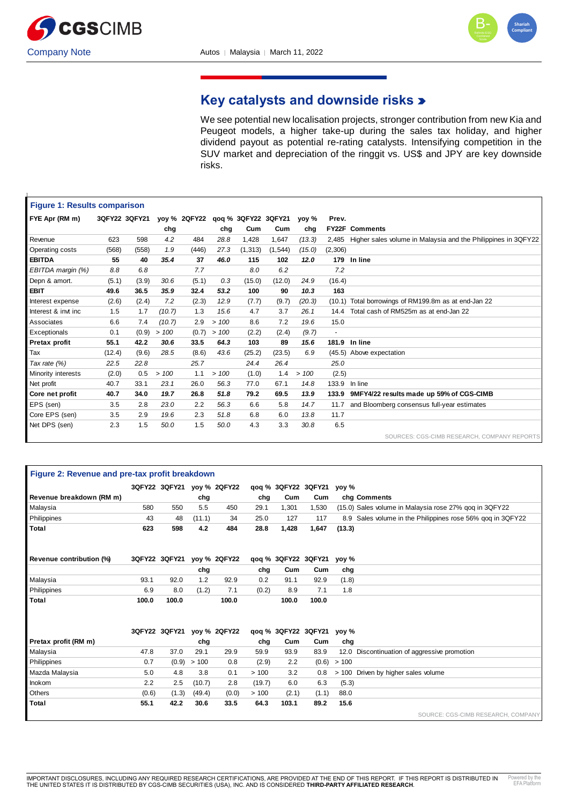



# **Key catalysts and downside risks**

We see potential new localisation projects, stronger contribution from new Kia and Peugeot models, a higher take-up during the sales tax holiday, and higher dividend payout as potential re-rating catalysts. Intensifying competition in the SUV market and depreciation of the ringgit vs. US\$ and JPY are key downside risks.

| <b>Figure 1: Results comparison</b> |        |               |        |                                  |      |          |          |        |                |                                                               |
|-------------------------------------|--------|---------------|--------|----------------------------------|------|----------|----------|--------|----------------|---------------------------------------------------------------|
| FYE Apr (RM m)                      |        | 3QFY22 3QFY21 |        | yoy % 2QFY22 qoq % 3QFY22 3QFY21 |      |          |          | yoy %  | Prev.          |                                                               |
|                                     |        |               | chg    |                                  | chg  | Cum      | Cum      | chg    |                | <b>FY22F Comments</b>                                         |
| Revenue                             | 623    | 598           | 4.2    | 484                              | 28.8 | 1,428    | 1,647    | (13.3) | 2.485          | Higher sales volume in Malaysia and the Philippines in 3QFY22 |
| Operating costs                     | (568)  | (558)         | 1.9    | (446)                            | 27.3 | (1, 313) | (1, 544) | (15.0) | (2,306)        |                                                               |
| <b>EBITDA</b>                       | 55     | 40            | 35.4   | 37                               | 46.0 | 115      | 102      | 12.0   |                | 179 In line                                                   |
| EBITDA margin (%)                   | 8.8    | 6.8           |        | 7.7                              |      | 8.0      | 6.2      |        | 7.2            |                                                               |
| Depn & amort.                       | (5.1)  | (3.9)         | 30.6   | (5.1)                            | 0.3  | (15.0)   | (12.0)   | 24.9   | (16.4)         |                                                               |
| <b>EBIT</b>                         | 49.6   | 36.5          | 35.9   | 32.4                             | 53.2 | 100      | 90       | 10.3   | 163            |                                                               |
| Interest expense                    | (2.6)  | (2.4)         | 7.2    | (2.3)                            | 12.9 | (7.7)    | (9.7)    | (20.3) | (10.1)         | Total borrowings of RM199.8m as at end-Jan 22                 |
| Interest & invt inc                 | 1.5    | 1.7           | (10.7) | 1.3                              | 15.6 | 4.7      | 3.7      | 26.1   | 14.4           | Total cash of RM525m as at end-Jan 22                         |
| Associates                          | 6.6    | 7.4           | (10.7) | 2.9                              | >100 | 8.6      | 7.2      | 19.6   | 15.0           |                                                               |
| Exceptionals                        | 0.1    | (0.9)         | >100   | (0.7)                            | >100 | (2.2)    | (2.4)    | (9.7)  | $\blacksquare$ |                                                               |
| Pretax profit                       | 55.1   | 42.2          | 30.6   | 33.5                             | 64.3 | 103      | 89       | 15.6   | 181.9          | In line                                                       |
| Tax                                 | (12.4) | (9.6)         | 28.5   | (8.6)                            | 43.6 | (25.2)   | (23.5)   | 6.9    |                | (45.5) Above expectation                                      |
| Tax rate (%)                        | 22.5   | 22.8          |        | 25.7                             |      | 24.4     | 26.4     |        | 25.0           |                                                               |
| Minority interests                  | (2.0)  | 0.5           | >100   | 1.1                              | >100 | (1.0)    | 1.4      | >100   | (2.5)          |                                                               |
| Net profit                          | 40.7   | 33.1          | 23.1   | 26.0                             | 56.3 | 77.0     | 67.1     | 14.8   | 133.9          | In line                                                       |
| Core net profit                     | 40.7   | 34.0          | 19.7   | 26.8                             | 51.8 | 79.2     | 69.5     | 13.9   | 133.9          | 9MFY4/22 results made up 59% of CGS-CIMB                      |
| EPS (sen)                           | 3.5    | 2.8           | 23.0   | 2.2                              | 56.3 | 6.6      | 5.8      | 14.7   | 11.7           | and Bloomberg consensus full-year estimates                   |
| Core EPS (sen)                      | 3.5    | 2.9           | 19.6   | 2.3                              | 51.8 | 6.8      | 6.0      | 13.8   | 11.7           |                                                               |
| Net DPS (sen)                       | 2.3    | 1.5           | 50.0   | 1.5                              | 50.0 | 4.3      | 3.3      | 30.8   | 6.5            |                                                               |
|                                     |        |               |        |                                  |      |          |          |        |                | SOURCES: CGS-CIMB RESEARCH, COMPANY REPORTS                   |

| Figure 2: Revenue and pre-tax profit breakdown |       |                            |        |                            |        |       |                           |        |                                                            |
|------------------------------------------------|-------|----------------------------|--------|----------------------------|--------|-------|---------------------------|--------|------------------------------------------------------------|
|                                                |       | 3QFY22 3QFY21 yoy % 2QFY22 |        |                            |        |       | qoq % 3QFY22 3QFY21 yoy % |        |                                                            |
| Revenue breakdown (RM m)                       |       |                            | chg    |                            | chg    | Cum   | Cum                       |        | chg Comments                                               |
| Malaysia                                       | 580   | 550                        | 5.5    | 450                        | 29.1   | 1.301 | 1,530                     |        | (15.0) Sales volume in Malaysia rose 27% gog in 3QFY22     |
| Philippines                                    | 43    | 48                         | (11.1) | 34                         | 25.0   | 127   | 117                       |        | 8.9 Sales volume in the Philippines rose 56% gog in 3QFY22 |
| Total                                          | 623   | 598                        | 4.2    | 484                        | 28.8   | 1,428 | 1,647                     | (13.3) |                                                            |
| Revenue contribution (%)                       |       | 3QFY22 3QFY21 yoy % 2QFY22 |        |                            |        |       | qoq % 3QFY22 3QFY21 yoy % |        |                                                            |
|                                                |       |                            | chg    |                            | chg    | Cum   | Cum                       | chg    |                                                            |
| Malaysia                                       | 93.1  | 92.0                       | 1.2    | 92.9                       | 0.2    | 91.1  | 92.9                      | (1.8)  |                                                            |
| Philippines                                    | 6.9   | 8.0                        | (1.2)  | 7.1                        | (0.2)  | 8.9   | 7.1                       | 1.8    |                                                            |
| <b>Total</b>                                   | 100.0 | 100.0                      |        | 100.0                      |        | 100.0 | 100.0                     |        |                                                            |
|                                                |       |                            |        |                            |        |       |                           |        |                                                            |
|                                                |       |                            |        | 3QFY22 3QFY21 yoy % 2QFY22 |        |       | qoq % 3QFY22 3QFY21 yoy % |        |                                                            |
| Pretax profit (RM m)                           |       |                            | chg    |                            | chg    | Cum   | Cum                       | chg    |                                                            |
| Malaysia                                       | 47.8  | 37.0                       | 29.1   | 29.9                       | 59.9   | 93.9  | 83.9                      |        | 12.0 Discontinuation of aggressive promotion               |
| Philippines                                    | 0.7   | (0.9)                      | > 100  | 0.8                        | (2.9)  | 2.2   | (0.6)                     | >100   |                                                            |
| Mazda Malaysia                                 | 5.0   | 4.8                        | 3.8    | 0.1                        | >100   | 3.2   | 0.8                       |        | > 100 Driven by higher sales volume                        |
| Inokom                                         | 2.2   | 2.5                        | (10.7) | 2.8                        | (19.7) | 6.0   | 6.3                       | (5.3)  |                                                            |
| Others                                         | (0.6) | (1.3)                      | (49.4) | (0.0)                      | > 100  | (2.1) | (1.1)                     | 88.0   |                                                            |
| <b>Total</b>                                   | 55.1  | 42.2                       | 30.6   | 33.5                       | 64.3   | 103.1 | 89.2                      | 15.6   |                                                            |
|                                                |       |                            |        |                            |        |       |                           |        | SOURCE: CGS-CIMB RESEARCH, COMPANY                         |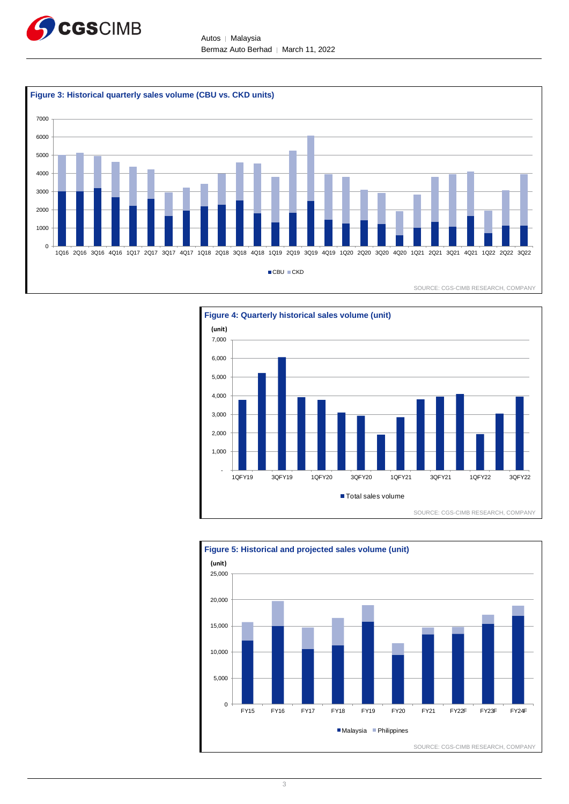

Autos │ Malaysia Bermaz Auto Berhad | March 11, 2022





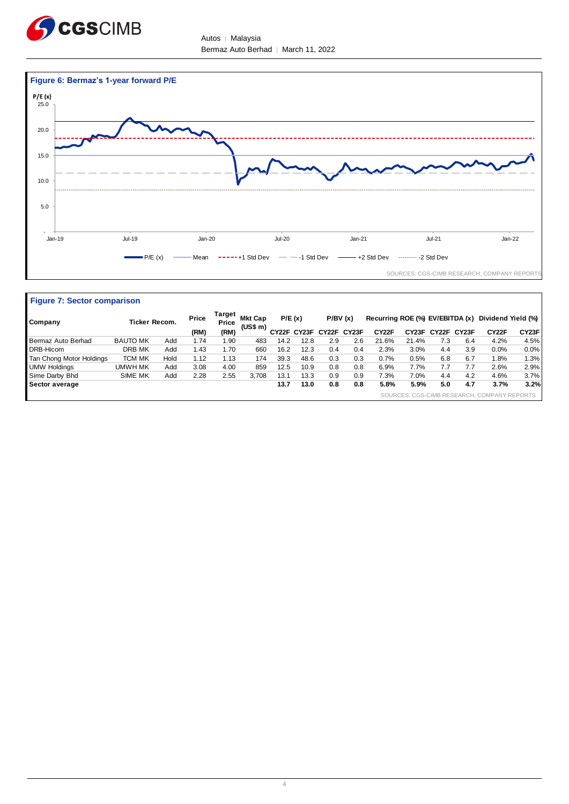

Autos │ Malaysia Bermaz Auto Berhad │ March 11, 2022



| <b>Figure 7: Sector comparison</b> |                 |      |                          |      |                            |      |                         |     |         |                                 |       |             |     |                                             |         |
|------------------------------------|-----------------|------|--------------------------|------|----------------------------|------|-------------------------|-----|---------|---------------------------------|-------|-------------|-----|---------------------------------------------|---------|
| Company                            | Ticker Recom.   |      | Target<br>Price<br>Price |      | <b>Mkt Cap</b><br>(US\$ m) |      | P/E(x)                  |     | P/BV(x) | Recurring ROE (%) EV/EBITDA (x) |       |             |     | Dividend Yield (%)                          |         |
|                                    |                 |      | (RM)                     | (RM) |                            |      | CY22F CY23F CY22F CY23F |     |         | CY22F                           | CY23F | CY22F CY23F |     | CY22F                                       | CY23F   |
| Bermaz Auto Berhad                 | <b>BAUTO MK</b> | Add  | 1.74                     | l.90 | 483                        | 14.2 | 12.8                    | 2.9 | 2.6     | 21.6%                           | 21.4% | 7.3         | 6.4 | 4.2%                                        | 4.5%    |
| DRB-Hicom                          | DRB MK          | Add  | 1.43                     | 1.70 | 660                        | 16.2 | 12.3                    | 0.4 | 0.4     | 2.3%                            | 3.0%  | 4.4         | 3.9 | 0.0%                                        | $0.0\%$ |
| Tan Chong Motor Holdings           | <b>TCM MK</b>   | Hold | 1.12                     | 1.13 | 174                        | 39.3 | 48.6                    | 0.3 | 0.3     | 0.7%                            | 0.5%  | 6.8         | 6.7 | 1.8%                                        | 1.3%    |
| <b>UMW Holdings</b>                | UMWH MK         | Add  | 3.08                     | 4.00 | 859                        | 12.5 | 10.9                    | 0.8 | 0.8     | 6.9%                            | 7.7%  | 7.7         | 7.7 | 2.6%                                        | 2.9%    |
| Sime Darby Bhd                     | SIME MK         | Add  | 2.28                     | 2.55 | 3.708                      | 13.1 | 13.3                    | 0.9 | 0.9     | 7.3%                            | 7.0%  | 4.4         | 4.2 | 4.6%                                        | 3.7%    |
| Sector average                     |                 |      |                          |      |                            | 13.7 | 13.0                    | 0.8 | 0.8     | 5.8%                            | 5.9%  | 5.0         | 4.7 | 3.7%                                        | 3.2%    |
|                                    |                 |      |                          |      |                            |      |                         |     |         |                                 |       |             |     | SOURCES: CGS-CIMB RESEARCH, COMPANY REPORTS |         |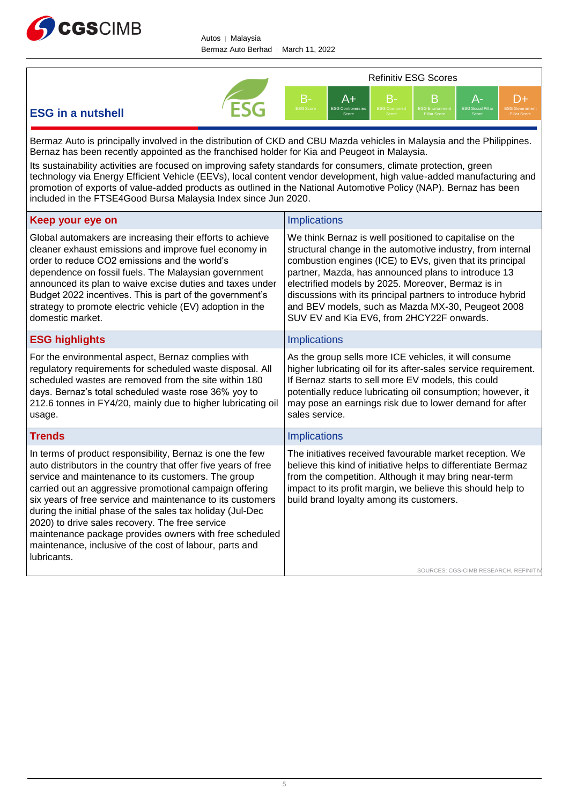



## **ESG in a nutshell**

Bermaz Auto is principally involved in the distribution of CKD and CBU Mazda vehicles in Malaysia and the Philippines. Bernaz has been recently appointed as the franchised holder for Kia and Peugeot in Malaysia.

Its sustainability activities are focused on improving safety standards for consumers, climate protection, green technology via Energy Efficient Vehicle (EEVs), local content vendor development, high value-added manufacturing and promotion of exports of value-added products as outlined in the National Automotive Policy (NAP). Bernaz has been included in the FTSE4Good Bursa Malaysia Index since Jun 2020.

| Keep your eye on                                                                                                                                                                                                                                                                                                                                                                                                                                                                                                                                                  | <b>Implications</b>                                                                                                                                                                                                                                                                                                                                                                                                                                               |
|-------------------------------------------------------------------------------------------------------------------------------------------------------------------------------------------------------------------------------------------------------------------------------------------------------------------------------------------------------------------------------------------------------------------------------------------------------------------------------------------------------------------------------------------------------------------|-------------------------------------------------------------------------------------------------------------------------------------------------------------------------------------------------------------------------------------------------------------------------------------------------------------------------------------------------------------------------------------------------------------------------------------------------------------------|
| Global automakers are increasing their efforts to achieve<br>cleaner exhaust emissions and improve fuel economy in<br>order to reduce CO2 emissions and the world's<br>dependence on fossil fuels. The Malaysian government<br>announced its plan to waive excise duties and taxes under<br>Budget 2022 incentives. This is part of the government's<br>strategy to promote electric vehicle (EV) adoption in the<br>domestic market.                                                                                                                             | We think Bernaz is well positioned to capitalise on the<br>structural change in the automotive industry, from internal<br>combustion engines (ICE) to EVs, given that its principal<br>partner, Mazda, has announced plans to introduce 13<br>electrified models by 2025. Moreover, Bermaz is in<br>discussions with its principal partners to introduce hybrid<br>and BEV models, such as Mazda MX-30, Peugeot 2008<br>SUV EV and Kia EV6, from 2HCY22F onwards. |
| <b>ESG highlights</b>                                                                                                                                                                                                                                                                                                                                                                                                                                                                                                                                             | <b>Implications</b>                                                                                                                                                                                                                                                                                                                                                                                                                                               |
| For the environmental aspect, Bernaz complies with<br>regulatory requirements for scheduled waste disposal. All<br>scheduled wastes are removed from the site within 180<br>days. Bernaz's total scheduled waste rose 36% yoy to<br>212.6 tonnes in FY4/20, mainly due to higher lubricating oil<br>usage.                                                                                                                                                                                                                                                        | As the group sells more ICE vehicles, it will consume<br>higher lubricating oil for its after-sales service requirement.<br>If Bernaz starts to sell more EV models, this could<br>potentially reduce lubricating oil consumption; however, it<br>may pose an earnings risk due to lower demand for after<br>sales service.                                                                                                                                       |
| <b>Trends</b>                                                                                                                                                                                                                                                                                                                                                                                                                                                                                                                                                     | <b>Implications</b>                                                                                                                                                                                                                                                                                                                                                                                                                                               |
| In terms of product responsibility, Bernaz is one the few<br>auto distributors in the country that offer five years of free<br>service and maintenance to its customers. The group<br>carried out an aggressive promotional campaign offering<br>six years of free service and maintenance to its customers<br>during the initial phase of the sales tax holiday (Jul-Dec<br>2020) to drive sales recovery. The free service<br>maintenance package provides owners with free scheduled<br>maintenance, inclusive of the cost of labour, parts and<br>lubricants. | The initiatives received favourable market reception. We<br>believe this kind of initiative helps to differentiate Bermaz<br>from the competition. Although it may bring near-term<br>impact to its profit margin, we believe this should help to<br>build brand loyalty among its customers.                                                                                                                                                                     |
|                                                                                                                                                                                                                                                                                                                                                                                                                                                                                                                                                                   | SOURCES: CGS-CIMB RESEARCH, REFINITIV                                                                                                                                                                                                                                                                                                                                                                                                                             |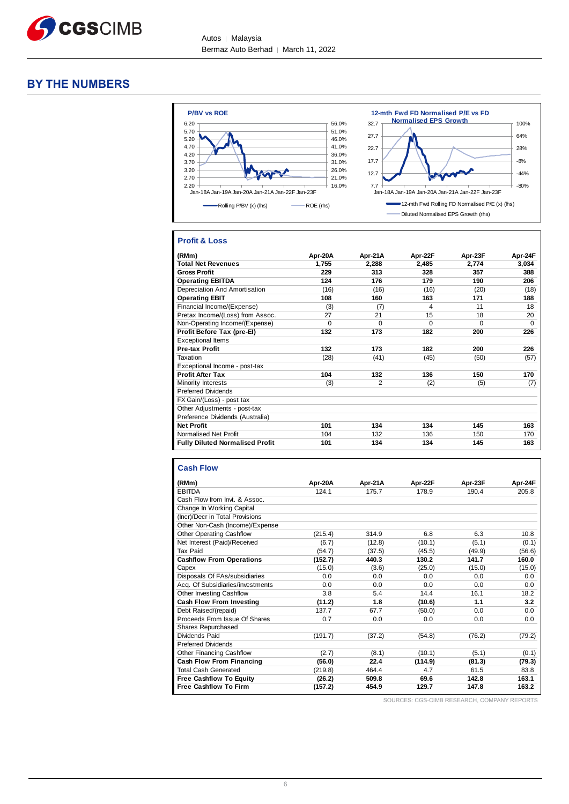

#### **BY THE NUMBERS**



#### **Profit & Loss**

| (RMm)                                  | Apr-20A | Apr-21A        | Apr-22F  | Apr-23F  | Apr-24F  |
|----------------------------------------|---------|----------------|----------|----------|----------|
| <b>Total Net Revenues</b>              | 1,755   | 2,288          | 2,485    | 2,774    | 3,034    |
| <b>Gross Profit</b>                    | 229     | 313            | 328      | 357      | 388      |
| <b>Operating EBITDA</b>                | 124     | 176            | 179      | 190      | 206      |
| Depreciation And Amortisation          | (16)    | (16)           | (16)     | (20)     | (18)     |
| <b>Operating EBIT</b>                  | 108     | 160            | 163      | 171      | 188      |
| Financial Income/(Expense)             | (3)     | (7)            | 4        | 11       | 18       |
| Pretax Income/(Loss) from Assoc.       | 27      | 21             | 15       | 18       | 20       |
| Non-Operating Income/(Expense)         | 0       | $\Omega$       | $\Omega$ | $\Omega$ | $\Omega$ |
| Profit Before Tax (pre-EI)             | 132     | 173            | 182      | 200      | 226      |
| <b>Exceptional Items</b>               |         |                |          |          |          |
| <b>Pre-tax Profit</b>                  | 132     | 173            | 182      | 200      | 226      |
| Taxation                               | (28)    | (41)           | (45)     | (50)     | (57)     |
| Exceptional Income - post-tax          |         |                |          |          |          |
| <b>Profit After Tax</b>                | 104     | 132            | 136      | 150      | 170      |
| Minority Interests                     | (3)     | $\overline{2}$ | (2)      | (5)      | (7)      |
| <b>Preferred Dividends</b>             |         |                |          |          |          |
| FX Gain/(Loss) - post tax              |         |                |          |          |          |
| Other Adjustments - post-tax           |         |                |          |          |          |
| Preference Dividends (Australia)       |         |                |          |          |          |
| <b>Net Profit</b>                      | 101     | 134            | 134      | 145      | 163      |
| Normalised Net Profit                  | 104     | 132            | 136      | 150      | 170      |
| <b>Fully Diluted Normalised Profit</b> | 101     | 134            | 134      | 145      | 163      |

#### **Cash Flow**

| (RMm)                            | Apr-20A | Apr-21A | Apr-22F | Apr-23F | Apr-24F |
|----------------------------------|---------|---------|---------|---------|---------|
| <b>EBITDA</b>                    | 124.1   | 175.7   | 178.9   | 190.4   | 205.8   |
| Cash Flow from Invt. & Assoc.    |         |         |         |         |         |
| Change In Working Capital        |         |         |         |         |         |
| (Incr)/Decr in Total Provisions  |         |         |         |         |         |
| Other Non-Cash (Income)/Expense  |         |         |         |         |         |
| <b>Other Operating Cashflow</b>  | (215.4) | 314.9   | 6.8     | 6.3     | 10.8    |
| Net Interest (Paid)/Received     | (6.7)   | (12.8)  | (10.1)  | (5.1)   | (0.1)   |
| Tax Paid                         | (54.7)  | (37.5)  | (45.5)  | (49.9)  | (56.6)  |
| <b>Cashflow From Operations</b>  | (152.7) | 440.3   | 130.2   | 141.7   | 160.0   |
| Capex                            | (15.0)  | (3.6)   | (25.0)  | (15.0)  | (15.0)  |
| Disposals Of FAs/subsidiaries    | 0.0     | 0.0     | 0.0     | 0.0     | 0.0     |
| Acq. Of Subsidiaries/investments | 0.0     | 0.0     | 0.0     | 0.0     | 0.0     |
| Other Investing Cashflow         | 3.8     | 5.4     | 14.4    | 16.1    | 18.2    |
| <b>Cash Flow From Investing</b>  | (11.2)  | 1.8     | (10.6)  | 1.1     | 3.2     |
| Debt Raised/(repaid)             | 137.7   | 67.7    | (50.0)  | 0.0     | 0.0     |
| Proceeds From Issue Of Shares    | 0.7     | 0.0     | 0.0     | 0.0     | 0.0     |
| <b>Shares Repurchased</b>        |         |         |         |         |         |
| Dividends Paid                   | (191.7) | (37.2)  | (54.8)  | (76.2)  | (79.2)  |
| <b>Preferred Dividends</b>       |         |         |         |         |         |
| <b>Other Financing Cashflow</b>  | (2.7)   | (8.1)   | (10.1)  | (5.1)   | (0.1)   |
| <b>Cash Flow From Financing</b>  | (56.0)  | 22.4    | (114.9) | (81.3)  | (79.3)  |
| <b>Total Cash Generated</b>      | (219.8) | 464.4   | 4.7     | 61.5    | 83.8    |
| <b>Free Cashflow To Equity</b>   | (26.2)  | 509.8   | 69.6    | 142.8   | 163.1   |
| <b>Free Cashflow To Firm</b>     | (157.2) | 454.9   | 129.7   | 147.8   | 163.2   |

SOURCES: CGS-CIMB RESEARCH, COMPANY REPORTS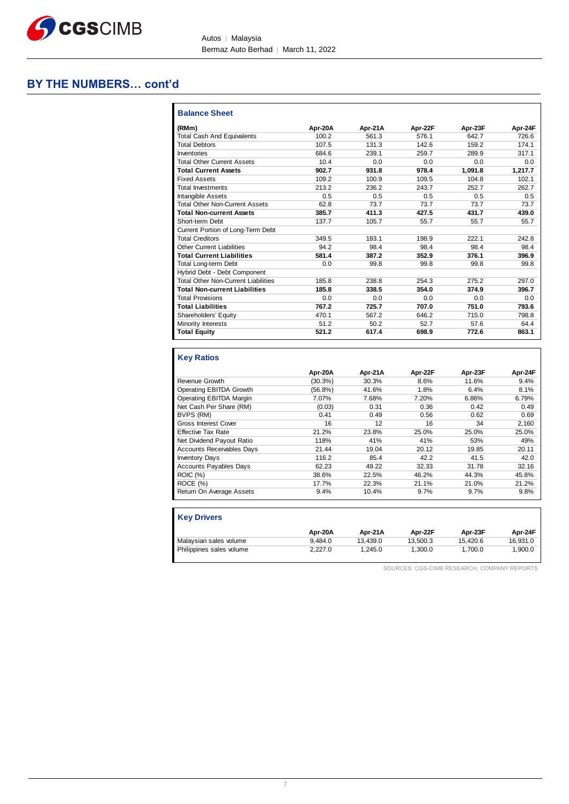

Autos | Malaysia Bermaz Auto Berhad | March 11, 2022

### **BY THE NUMBERS… cont'd**

| <b>Balance Sheet</b>                       |         |         |         |         |         |
|--------------------------------------------|---------|---------|---------|---------|---------|
| (RMm)                                      | Apr-20A | Apr-21A | Apr-22F | Apr-23F | Apr-24F |
| <b>Total Cash And Equivalents</b>          | 100.2   | 561.3   | 576.1   | 6427    | 726.6   |
| <b>Total Debtors</b>                       | 107.5   | 131.3   | 142.6   | 159.2   | 174 1   |
| Inventories                                | 684.6   | 239.1   | 259.7   | 289.9   | 317.1   |
| <b>Total Other Current Assets</b>          | 10.4    | 0.0     | 0.0     | 0.0     | 0.0     |
| <b>Total Current Assets</b>                | 902.7   | 931.8   | 978.4   | 1,091.8 | 1.217.7 |
| <b>Fixed Assets</b>                        | 109.2   | 100.9   | 109.5   | 104.8   | 102.1   |
| <b>Total Investments</b>                   | 213.2   | 236.2   | 243.7   | 252.7   | 262.7   |
| <b>Intangible Assets</b>                   | 0.5     | 0.5     | 0.5     | 0.5     | 0.5     |
| <b>Total Other Non-Current Assets</b>      | 62.8    | 73.7    | 73.7    | 73.7    | 73.7    |
| <b>Total Non-current Assets</b>            | 385.7   | 411.3   | 427.5   | 431.7   | 439.0   |
| Short-term Debt                            | 137.7   | 105.7   | 55.7    | 55.7    | 55.7    |
| Current Portion of Long-Term Debt          |         |         |         |         |         |
| <b>Total Creditors</b>                     | 349.5   | 183.1   | 198.9   | 222.1   | 242.8   |
| <b>Other Current Liabilities</b>           | 94.2    | 98.4    | 98.4    | 98.4    | 98.4    |
| <b>Total Current Liabilities</b>           | 581.4   | 387.2   | 352.9   | 376.1   | 396.9   |
| <b>Total Long-term Debt</b>                | 0.0     | 99.8    | 99.8    | 99.8    | 99.8    |
| Hybrid Debt - Debt Component               |         |         |         |         |         |
| <b>Total Other Non-Current Liabilities</b> | 185.8   | 238.8   | 254.3   | 275.2   | 297.0   |
| <b>Total Non-current Liabilities</b>       | 185.8   | 338.5   | 354.0   | 374.9   | 396.7   |
| <b>Total Provisions</b>                    | 0.0     | 0.0     | 0.0     | 0.0     | 0.0     |
| <b>Total Liabilities</b>                   | 767.2   | 725.7   | 707.0   | 751.0   | 793.6   |
| Shareholders' Equity                       | 470.1   | 567.2   | 646.2   | 715.0   | 798.8   |
| Minority Interests                         | 51.2    | 50.2    | 52.7    | 57.6    | 64.4    |
| <b>Total Equity</b>                        | 521.2   | 617.4   | 698.9   | 772.6   | 863.1   |

#### **Key Ratios**

|                                  | Apr-20A    | Apr-21A | Apr-22F | Apr-23F | Apr-24F |
|----------------------------------|------------|---------|---------|---------|---------|
| Revenue Growth                   | $(30.3\%)$ | 30.3%   | 8.6%    | 11.6%   | 9.4%    |
| Operating EBITDA Growth          | $(56.8\%)$ | 41.6%   | 1.8%    | 6.4%    | 8.1%    |
| Operating EBITDA Margin          | 7.07%      | 7.68%   | 7.20%   | 6.86%   | 6.79%   |
| Net Cash Per Share (RM)          | (0.03)     | 0.31    | 0.36    | 0.42    | 0.49    |
| BVPS (RM)                        | 0.41       | 0.49    | 0.56    | 0.62    | 0.69    |
| <b>Gross Interest Cover</b>      | 16         | 12      | 16      | 34      | 2,160   |
| <b>Effective Tax Rate</b>        | 21.2%      | 23.8%   | 25.0%   | 25.0%   | 25.0%   |
| Net Dividend Payout Ratio        | 118%       | 41%     | 41%     | 53%     | 49%     |
| <b>Accounts Receivables Days</b> | 21.44      | 19.04   | 20.12   | 19.85   | 20.11   |
| <b>Inventory Days</b>            | 116.2      | 85.4    | 42.2    | 41.5    | 42.0    |
| <b>Accounts Payables Days</b>    | 62.23      | 49.22   | 32.33   | 31.78   | 32.16   |
| <b>ROIC</b> (%)                  | 38.6%      | 22.5%   | 46.2%   | 44.3%   | 45.8%   |
| ROCE (%)                         | 17.7%      | 22.3%   | 21.1%   | 21.0%   | 21.2%   |
| Return On Average Assets         | 9.4%       | 10.4%   | 9.7%    | 9.7%    | 9.8%    |

| <b>Key Drivers</b>       |         |          |          |          |          |
|--------------------------|---------|----------|----------|----------|----------|
|                          | Apr-20A | Apr-21A  | Apr-22F  | Apr-23F  | Apr-24F  |
| Malaysian sales volume   | 9.484.0 | 13.439.0 | 13.500.3 | 15.420.6 | 16.931.0 |
| Philippines sales volume | 2.227.0 | 1.245.0  | 1.300.0  | 1.700.0  | 1,900.0  |

SOURCES: CGS-CIMB RESEARCH, COMPANY REPORTS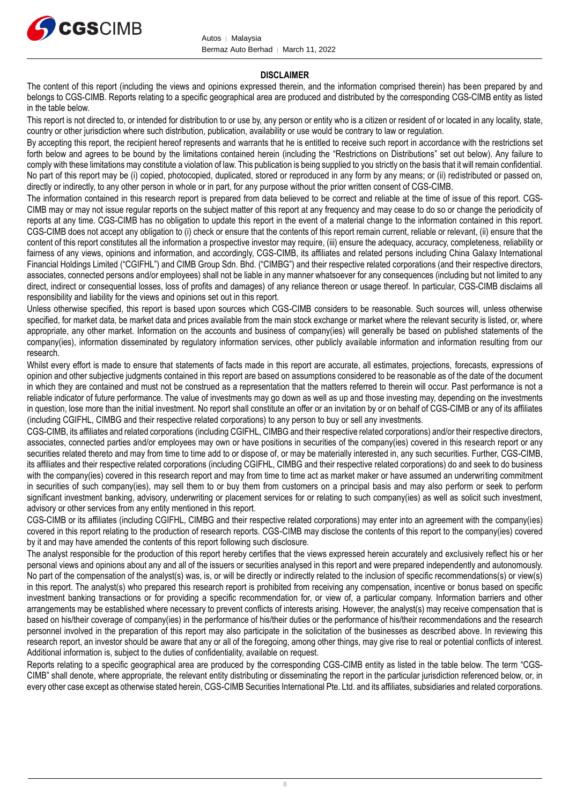

#### **DISCLAIMER**

The content of this report (including the views and opinions expressed therein, and the information comprised therein) has been prepared by and belongs to CGS-CIMB. Reports relating to a specific geographical area are produced and distributed by the corresponding CGS-CIMB entity as listed in the table below.

This report is not directed to, or intended for distribution to or use by, any person or entity who is a citizen or resident of or located in any locality, state, country or other jurisdiction where such distribution, publication, availability or use would be contrary to law or regulation.

By accepting this report, the recipient hereof represents and warrants that he is entitled to receive such report in accordance with the restrictions set forth below and agrees to be bound by the limitations contained herein (including the "Restrictions on Distributions" set out below). Any failure to comply with these limitations may constitute a violation of law. This publication is being supplied to you strictly on the basis that it will remain confidential. No part of this report may be (i) copied, photocopied, duplicated, stored or reproduced in any form by any means; or (ii) redistributed or passed on, directly or indirectly, to any other person in whole or in part, for any purpose without the prior written consent of CGS-CIMB.

The information contained in this research report is prepared from data believed to be correct and reliable at the time of issue of this report. CGS-CIMB may or may not issue regular reports on the subject matter of this report at any frequency and may cease to do so or change the periodicity of reports at any time. CGS-CIMB has no obligation to update this report in the event of a material change to the information contained in this report. CGS-CIMB does not accept any obligation to (i) check or ensure that the contents of this report remain current, reliable or relevant, (ii) ensure that the content of this report constitutes all the information a prospective investor may require, (iii) ensure the adequacy, accuracy, completeness, reliability or fairness of any views, opinions and information, and accordingly, CGS-CIMB, its affiliates and related persons including China Galaxy International Financial Holdings Limited ("CGIFHL") and CIMB Group Sdn. Bhd. ("CIMBG") and their respective related corporations (and their respective directors, associates, connected persons and/or employees) shall not be liable in any manner whatsoever for any consequences (including but not limited to any direct, indirect or consequential losses, loss of profits and damages) of any reliance thereon or usage thereof. In particular, CGS-CIMB disclaims all responsibility and liability for the views and opinions set out in this report.

Unless otherwise specified, this report is based upon sources which CGS-CIMB considers to be reasonable. Such sources will, unless otherwise specified, for market data, be market data and prices available from the main stock exchange or market where the relevant security is listed, or, where appropriate, any other market. Information on the accounts and business of company(ies) will generally be based on published statements of the company(ies), information disseminated by regulatory information services, other publicly available information and information resulting from our research.

Whilst every effort is made to ensure that statements of facts made in this report are accurate, all estimates, projections, forecasts, expressions of opinion and other subjective judgments contained in this report are based on assumptions considered to be reasonable as of the date of the document in which they are contained and must not be construed as a representation that the matters referred to therein will occur. Past performance is not a reliable indicator of future performance. The value of investments may go down as well as up and those investing may, depending on the investments in question, lose more than the initial investment. No report shall constitute an offer or an invitation by or on behalf of CGS-CIMB or any of its affiliates (including CGIFHL, CIMBG and their respective related corporations) to any person to buy or sell any investments.

CGS-CIMB, its affiliates and related corporations (including CGIFHL, CIMBG and their respective related corporations) and/or their respective directors, associates, connected parties and/or employees may own or have positions in securities of the company(ies) covered in this research report or any securities related thereto and may from time to time add to or dispose of, or may be materially interested in, any such securities. Further, CGS-CIMB, its affiliates and their respective related corporations (including CGIFHL, CIMBG and their respective related corporations) do and seek to do business with the company(ies) covered in this research report and may from time to time act as market maker or have assumed an underwriting commitment in securities of such company(ies), may sell them to or buy them from customers on a principal basis and may also perform or seek to perform significant investment banking, advisory, underwriting or placement services for or relating to such company(ies) as well as solicit such investment. advisory or other services from any entity mentioned in this report.

CGS-CIMB or its affiliates (including CGIFHL, CIMBG and their respective related corporations) may enter into an agreement with the company(ies) covered in this report relating to the production of research reports. CGS-CIMB may disclose the contents of this report to the company(ies) covered by it and may have amended the contents of this report following such disclosure.

The analyst responsible for the production of this report hereby certifies that the views expressed herein accurately and exclusively reflect his or her personal views and opinions about any and all of the issuers or securities analysed in this report and were prepared independently and autonomously. No part of the compensation of the analyst(s) was, is, or will be directly or indirectly related to the inclusion of specific recommendations(s) or view(s) in this report. The analyst(s) who prepared this research report is prohibited from receiving any compensation, incentive or bonus based on specific investment banking transactions or for providing a specific recommendation for, or view of, a particular company. Information barriers and other arrangements may be established where necessary to prevent conflicts of interests arising. However, the analyst(s) may receive compensation that is based on his/their coverage of company(ies) in the performance of his/their duties or the performance of his/their recommendations and the research personnel involved in the preparation of this report may also participate in the solicitation of the businesses as described above. In reviewing this research report, an investor should be aware that any or all of the foregoing, among other things, may give rise to real or potential conflicts of interest. Additional information is, subject to the duties of confidentiality, available on request.

Reports relating to a specific geographical area are produced by the corresponding CGS-CIMB entity as listed in the table below. The term "CGS-CIMB" shall denote, where appropriate, the relevant entity distributing or disseminating the report in the particular jurisdiction referenced below, or, in every other case except as otherwise stated herein, CGS-CIMB Securities International Pte. Ltd. and its affiliates, subsidiaries and related corporations.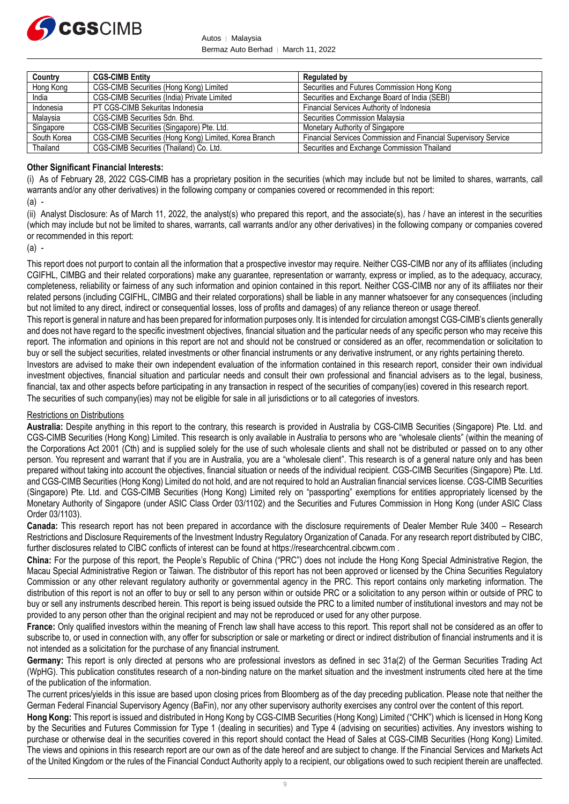

Autos │ Malaysia Bermaz Auto Berhad | March 11, 2022

| Country     | <b>CGS-CIMB Entity</b>                                | <b>Regulated by</b>                                             |
|-------------|-------------------------------------------------------|-----------------------------------------------------------------|
| Hong Kong   | CGS-CIMB Securities (Hong Kong) Limited               | Securities and Futures Commission Hong Kong                     |
| India       | CGS-CIMB Securities (India) Private Limited           | Securities and Exchange Board of India (SEBI)                   |
| Indonesia   | PT CGS-CIMB Sekuritas Indonesia                       | Financial Services Authority of Indonesia                       |
| Malaysia    | CGS-CIMB Securities Sdn. Bhd.                         | Securities Commission Malaysia                                  |
| Singapore   | CGS-CIMB Securities (Singapore) Pte. Ltd.             | Monetary Authority of Singapore                                 |
| South Korea | CGS-CIMB Securities (Hong Kong) Limited, Korea Branch | Financial Services Commission and Financial Supervisory Service |
| Thailand    | CGS-CIMB Securities (Thailand) Co. Ltd.               | Securities and Exchange Commission Thailand                     |

#### **Other Significant Financial Interests:**

(i) As of February 28, 2022 CGS-CIMB has a proprietary position in the securities (which may include but not be limited to shares, warrants, call warrants and/or any other derivatives) in the following company or companies covered or recommended in this report:

(a) -

(ii) Analyst Disclosure: As of March 11, 2022, the analyst(s) who prepared this report, and the associate(s), has / have an interest in the securities (which may include but not be limited to shares, warrants, call warrants and/or any other derivatives) in the following company or companies covered or recommended in this report:

(a) -

This report does not purport to contain all the information that a prospective investor may require. Neither CGS-CIMB nor any of its affiliates (including CGIFHL, CIMBG and their related corporations) make any guarantee, representation or warranty, express or implied, as to the adequacy, accuracy, completeness, reliability or fairness of any such information and opinion contained in this report. Neither CGS-CIMB nor any of its affiliates nor their related persons (including CGIFHL, CIMBG and their related corporations) shall be liable in any manner whatsoever for any consequences (including but not limited to any direct, indirect or consequential losses, loss of profits and damages) of any reliance thereon or usage thereof.

This report is general in nature and has been prepared for information purposes only. It is intended for circulation amongst CGS-CIMB's clients generally and does not have regard to the specific investment objectives, financial situation and the particular needs of any specific person who may receive this report. The information and opinions in this report are not and should not be construed or considered as an offer, recommendation or solicitation to buy or sell the subject securities, related investments or other financial instruments or any derivative instrument, or any rights pertaining thereto.

Investors are advised to make their own independent evaluation of the information contained in this research report, consider their own individual investment objectives, financial situation and particular needs and consult their own professional and financial advisers as to the legal, business, financial, tax and other aspects before participating in any transaction in respect of the securities of company(ies) covered in this research report.

The securities of such company(ies) may not be eligible for sale in all jurisdictions or to all categories of investors.

#### Restrictions on Distributions

**Australia:** Despite anything in this report to the contrary, this research is provided in Australia by CGS-CIMB Securities (Singapore) Pte. Ltd. and CGS-CIMB Securities (Hong Kong) Limited. This research is only available in Australia to persons who are "wholesale clients" (within the meaning of the Corporations Act 2001 (Cth) and is supplied solely for the use of such wholesale clients and shall not be distributed or passed on to any other person. You represent and warrant that if you are in Australia, you are a "wholesale client". This research is of a general nature only and has been prepared without taking into account the objectives, financial situation or needs of the individual recipient. CGS-CIMB Securities (Singapore) Pte. Ltd. and CGS-CIMB Securities (Hong Kong) Limited do not hold, and are not required to hold an Australian financial services license. CGS-CIMB Securities (Singapore) Pte. Ltd. and CGS-CIMB Securities (Hong Kong) Limited rely on "passporting" exemptions for entities appropriately licensed by the Monetary Authority of Singapore (under ASIC Class Order 03/1102) and the Securities and Futures Commission in Hong Kong (under ASIC Class Order 03/1103).

**Canada:** This research report has not been prepared in accordance with the disclosure requirements of Dealer Member Rule 3400 – Research Restrictions and Disclosure Requirements of the Investment Industry Regulatory Organization of Canada. For any research report distributed by CIBC, further disclosures related to CIBC conflicts of interest can be found at https://researchcentral.cibcwm.com .

**China:** For the purpose of this report, the People's Republic of China ("PRC") does not include the Hong Kong Special Administrative Region, the Macau Special Administrative Region or Taiwan. The distributor of this report has not been approved or licensed by the China Securities Regulatory Commission or any other relevant regulatory authority or governmental agency in the PRC. This report contains only marketing information. The distribution of this report is not an offer to buy or sell to any person within or outside PRC or a solicitation to any person within or outside of PRC to buy or sell any instruments described herein. This report is being issued outside the PRC to a limited number of institutional investors and may not be provided to any person other than the original recipient and may not be reproduced or used for any other purpose.

**France:** Only qualified investors within the meaning of French law shall have access to this report. This report shall not be considered as an offer to subscribe to, or used in connection with, any offer for subscription or sale or marketing or direct or indirect distribution of financial instruments and it is not intended as a solicitation for the purchase of any financial instrument.

**Germany:** This report is only directed at persons who are professional investors as defined in sec 31a(2) of the German Securities Trading Act (WpHG). This publication constitutes research of a non-binding nature on the market situation and the investment instruments cited here at the time of the publication of the information.

The current prices/yields in this issue are based upon closing prices from Bloomberg as of the day preceding publication. Please note that neither the German Federal Financial Supervisory Agency (BaFin), nor any other supervisory authority exercises any control over the content of this report.

**Hong Kong:** This report is issued and distributed in Hong Kong by CGS-CIMB Securities (Hong Kong) Limited ("CHK") which is licensed in Hong Kong by the Securities and Futures Commission for Type 1 (dealing in securities) and Type 4 (advising on securities) activities. Any investors wishing to purchase or otherwise deal in the securities covered in this report should contact the Head of Sales at CGS-CIMB Securities (Hong Kong) Limited. The views and opinions in this research report are our own as of the date hereof and are subject to change. If the Financial Services and Markets Act of the United Kingdom or the rules of the Financial Conduct Authority apply to a recipient, our obligations owed to such recipient therein are unaffected.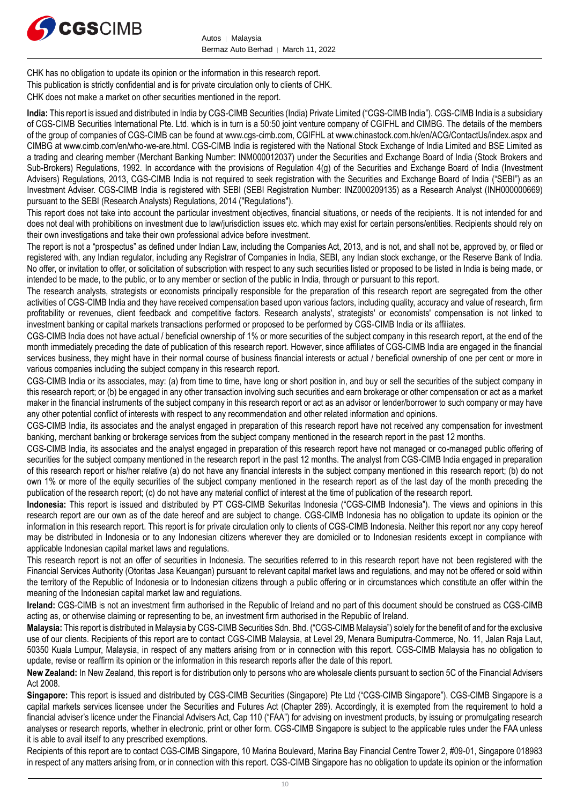

CHK has no obligation to update its opinion or the information in this research report. This publication is strictly confidential and is for private circulation only to clients of CHK. CHK does not make a market on other securities mentioned in the report.

**India:** This report is issued and distributed in India by CGS-CIMB Securities (India) Private Limited ("CGS-CIMB India"). CGS-CIMB India is a subsidiary of CGS-CIMB Securities International Pte. Ltd. which is in turn is a 50:50 joint venture company of CGIFHL and CIMBG. The details of the members of the group of companies of CGS-CIMB can be found at www.cgs-cimb.com, CGIFHL at www.chinastock.com.hk/en/ACG/ContactUs/index.aspx and CIMBG at www.cimb.com/en/who-we-are.html. CGS-CIMB India is registered with the National Stock Exchange of India Limited and BSE Limited as a trading and clearing member (Merchant Banking Number: INM000012037) under the Securities and Exchange Board of India (Stock Brokers and Sub-Brokers) Regulations, 1992. In accordance with the provisions of Regulation 4(g) of the Securities and Exchange Board of India (Investment Advisers) Regulations, 2013, CGS-CIMB India is not required to seek registration with the Securities and Exchange Board of India ("SEBI") as an Investment Adviser. CGS-CIMB India is registered with SEBI (SEBI Registration Number: INZ000209135) as a Research Analyst (INH000000669) pursuant to the SEBI (Research Analysts) Regulations, 2014 ("Regulations").

This report does not take into account the particular investment objectives, financial situations, or needs of the recipients. It is not intended for and does not deal with prohibitions on investment due to law/jurisdiction issues etc. which may exist for certain persons/entities. Recipients should rely on their own investigations and take their own professional advice before investment.

The report is not a "prospectus" as defined under Indian Law, including the Companies Act, 2013, and is not, and shall not be, approved by, or filed or registered with, any Indian regulator, including any Registrar of Companies in India, SEBI, any Indian stock exchange, or the Reserve Bank of India. No offer, or invitation to offer, or solicitation of subscription with respect to any such securities listed or proposed to be listed in India is being made, or intended to be made, to the public, or to any member or section of the public in India, through or pursuant to this report.

The research analysts, strategists or economists principally responsible for the preparation of this research report are segregated from the other activities of CGS-CIMB India and they have received compensation based upon various factors, including quality, accuracy and value of research, firm profitability or revenues, client feedback and competitive factors. Research analysts', strategists' or economists' compensation is not linked to investment banking or capital markets transactions performed or proposed to be performed by CGS-CIMB India or its affiliates.

CGS-CIMB India does not have actual / beneficial ownership of 1% or more securities of the subject company in this research report, at the end of the month immediately preceding the date of publication of this research report. However, since affiliates of CGS-CIMB India are engaged in the financial services business, they might have in their normal course of business financial interests or actual / beneficial ownership of one per cent or more in various companies including the subject company in this research report.

CGS-CIMB India or its associates, may: (a) from time to time, have long or short position in, and buy or sell the securities of the subject company in this research report; or (b) be engaged in any other transaction involving such securities and earn brokerage or other compensation or act as a market maker in the financial instruments of the subject company in this research report or act as an advisor or lender/borrower to such company or may have any other potential conflict of interests with respect to any recommendation and other related information and opinions.

CGS-CIMB India, its associates and the analyst engaged in preparation of this research report have not received any compensation for investment banking, merchant banking or brokerage services from the subject company mentioned in the research report in the past 12 months.

CGS-CIMB India, its associates and the analyst engaged in preparation of this research report have not managed or co-managed public offering of securities for the subject company mentioned in the research report in the past 12 months. The analyst from CGS-CIMB India engaged in preparation of this research report or his/her relative (a) do not have any financial interests in the subject company mentioned in this research report; (b) do not own 1% or more of the equity securities of the subject company mentioned in the research report as of the last day of the month preceding the publication of the research report; (c) do not have any material conflict of interest at the time of publication of the research report.

**Indonesia:** This report is issued and distributed by PT CGS-CIMB Sekuritas Indonesia ("CGS-CIMB Indonesia"). The views and opinions in this research report are our own as of the date hereof and are subject to change. CGS-CIMB Indonesia has no obligation to update its opinion or the information in this research report. This report is for private circulation only to clients of CGS-CIMB Indonesia. Neither this report nor any copy hereof may be distributed in Indonesia or to any Indonesian citizens wherever they are domiciled or to Indonesian residents except in compliance with applicable Indonesian capital market laws and regulations.

This research report is not an offer of securities in Indonesia. The securities referred to in this research report have not been registered with the Financial Services Authority (Otoritas Jasa Keuangan) pursuant to relevant capital market laws and regulations, and may not be offered or sold within the territory of the Republic of Indonesia or to Indonesian citizens through a public offering or in circumstances which constitute an offer within the meaning of the Indonesian capital market law and regulations.

**Ireland:** CGS-CIMB is not an investment firm authorised in the Republic of Ireland and no part of this document should be construed as CGS-CIMB acting as, or otherwise claiming or representing to be, an investment firm authorised in the Republic of Ireland.

**Malaysia:** This report is distributed in Malaysia by CGS-CIMB Securities Sdn. Bhd. ("CGS-CIMB Malaysia") solely for the benefit of and for the exclusive use of our clients. Recipients of this report are to contact CGS-CIMB Malaysia, at Level 29, Menara Bumiputra-Commerce, No. 11, Jalan Raja Laut, 50350 Kuala Lumpur, Malaysia, in respect of any matters arising from or in connection with this report. CGS-CIMB Malaysia has no obligation to update, revise or reaffirm its opinion or the information in this research reports after the date of this report.

**New Zealand:** In New Zealand, this report is for distribution only to persons who are wholesale clients pursuant to section 5C of the Financial Advisers Act 2008.

Singapore: This report is issued and distributed by CGS-CIMB Securities (Singapore) Pte Ltd ("CGS-CIMB Singapore"). CGS-CIMB Singapore is a capital markets services licensee under the Securities and Futures Act (Chapter 289). Accordingly, it is exempted from the requirement to hold a financial adviser's licence under the Financial Advisers Act, Cap 110 ("FAA") for advising on investment products, by issuing or promulgating research analyses or research reports, whether in electronic, print or other form. CGS-CIMB Singapore is subject to the applicable rules under the FAA unless it is able to avail itself to any prescribed exemptions.

Recipients of this report are to contact CGS-CIMB Singapore, 10 Marina Boulevard, Marina Bay Financial Centre Tower 2, #09-01, Singapore 018983 in respect of any matters arising from, or in connection with this report. CGS-CIMB Singapore has no obligation to update its opinion or the information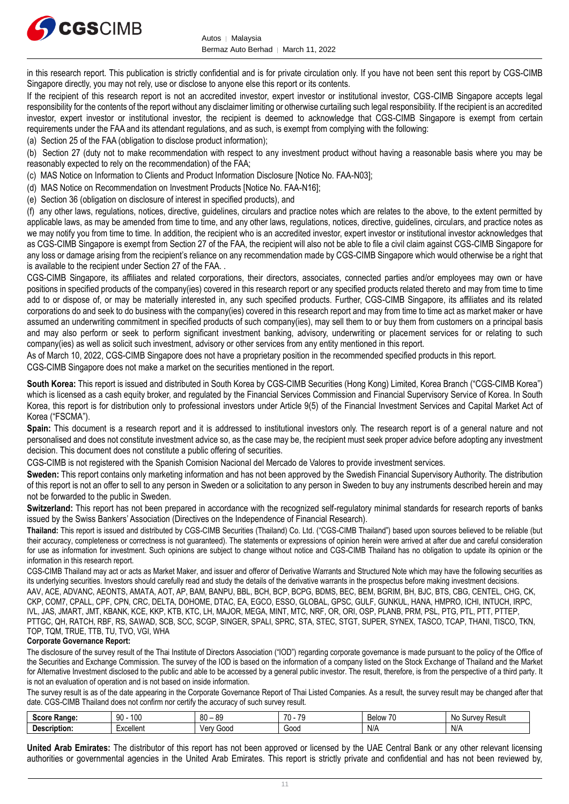

in this research report. This publication is strictly confidential and is for private circulation only. If you have not been sent this report by CGS-CIMB Singapore directly, you may not rely, use or disclose to anyone else this report or its contents.

If the recipient of this research report is not an accredited investor, expert investor or institutional investor, CGS-CIMB Singapore accepts legal responsibility for the contents of the report without any disclaimer limiting or otherwise curtailing such legal responsibility. If the recipient is an accredited investor, expert investor or institutional investor, the recipient is deemed to acknowledge that CGS-CIMB Singapore is exempt from certain requirements under the FAA and its attendant regulations, and as such, is exempt from complying with the following:

(a) Section 25 of the FAA (obligation to disclose product information);

(b) Section 27 (duty not to make recommendation with respect to any investment product without having a reasonable basis where you may be reasonably expected to rely on the recommendation) of the FAA;

(c) MAS Notice on Information to Clients and Product Information Disclosure [Notice No. FAA-N03];

(d) MAS Notice on Recommendation on Investment Products [Notice No. FAA-N16];

(e) Section 36 (obligation on disclosure of interest in specified products), and

(f) any other laws, regulations, notices, directive, guidelines, circulars and practice notes which are relates to the above, to the extent permitted by applicable laws, as may be amended from time to time, and any other laws, regulations, notices, directive, guidelines, circulars, and practice notes as we may notify you from time to time. In addition, the recipient who is an accredited investor, expert investor or institutional investor acknowledges that as CGS-CIMB Singapore is exempt from Section 27 of the FAA, the recipient will also not be able to file a civil claim against CGS-CIMB Singapore for any loss or damage arising from the recipient's reliance on any recommendation made by CGS-CIMB Singapore which would otherwise be a right that is available to the recipient under Section 27 of the FAA. .

CGS-CIMB Singapore, its affiliates and related corporations, their directors, associates, connected parties and/or employees may own or have positions in specified products of the company(ies) covered in this research report or any specified products related thereto and may from time to time add to or dispose of, or may be materially interested in, any such specified products. Further, CGS-CIMB Singapore, its affiliates and its related corporations do and seek to do business with the company(ies) covered in this research report and may from time to time act as market maker or have assumed an underwriting commitment in specified products of such company(ies), may sell them to or buy them from customers on a principal basis and may also perform or seek to perform significant investment banking, advisory, underwriting or placement services for or relating to such company(ies) as well as solicit such investment, advisory or other services from any entity mentioned in this report.

As of March 10, 2022, CGS-CIMB Singapore does not have a proprietary position in the recommended specified products in this report.

CGS-CIMB Singapore does not make a market on the securities mentioned in the report.

**South Korea:** This report is issued and distributed in South Korea by CGS-CIMB Securities (Hong Kong) Limited, Korea Branch ("CGS-CIMB Korea") which is licensed as a cash equity broker, and regulated by the Financial Services Commission and Financial Supervisory Service of Korea. In South Korea, this report is for distribution only to professional investors under Article 9(5) of the Financial Investment Services and Capital Market Act of Korea ("FSCMA").

**Spain:** This document is a research report and it is addressed to institutional investors only. The research report is of a general nature and not personalised and does not constitute investment advice so, as the case may be, the recipient must seek proper advice before adopting any investment decision. This document does not constitute a public offering of securities.

CGS-CIMB is not registered with the Spanish Comision Nacional del Mercado de Valores to provide investment services.

**Sweden:** This report contains only marketing information and has not been approved by the Swedish Financial Supervisory Authority. The distribution of this report is not an offer to sell to any person in Sweden or a solicitation to any person in Sweden to buy any instruments described herein and may not be forwarded to the public in Sweden.

**Switzerland:** This report has not been prepared in accordance with the recognized self-regulatory minimal standards for research reports of banks issued by the Swiss Bankers' Association (Directives on the Independence of Financial Research).

**Thailand:** This report is issued and distributed by CGS-CIMB Securities (Thailand) Co. Ltd. ("CGS-CIMB Thailand") based upon sources believed to be reliable (but their accuracy, completeness or correctness is not guaranteed). The statements or expressions of opinion herein were arrived at after due and careful consideration for use as information for investment. Such opinions are subject to change without notice and CGS-CIMB Thailand has no obligation to update its opinion or the information in this research report.

CGS-CIMB Thailand may act or acts as Market Maker, and issuer and offeror of Derivative Warrants and Structured Note which may have the following securities as its underlying securities. Investors should carefully read and study the details of the derivative warrants in the prospectus before making investment decisions.

AAV, ACE, ADVANC, AEONTS, AMATA, AOT, AP, BAM, BANPU, BBL, BCH, BCP, BCPG, BDMS, BEC, BEM, BGRIM, BH, BJC, BTS, CBG, CENTEL, CHG, CK, CKP, COM7, CPALL, CPF, CPN, CRC, DELTA, DOHOME, DTAC, EA, EGCO, ESSO, GLOBAL, GPSC, GULF, GUNKUL, HANA, HMPRO, ICHI, INTUCH, IRPC, IVL, JAS, JMART, JMT, KBANK, KCE, KKP, KTB, KTC, LH, MAJOR, MEGA, MINT, MTC, NRF, OR, ORI, OSP, PLANB, PRM, PSL, PTG, PTL, PTT, PTTEP, PTTGC, QH, RATCH, RBF, RS, SAWAD, SCB, SCC, SCGP, SINGER, SPALI, SPRC, STA, STEC, STGT, SUPER, SYNEX, TASCO, TCAP, THANI, TISCO, TKN, TOP, TQM, TRUE, TTB, TU, TVO, VGI, WHA

#### **Corporate Governance Report:**

The disclosure of the survey result of the Thai Institute of Directors Association ("IOD") regarding corporate governance is made pursuant to the policy of the Office of the Securities and Exchange Commission. The survey of the IOD is based on the information of a company listed on the Stock Exchange of Thailand and the Market for Alternative Investment disclosed to the public and able to be accessed by a general public investor. The result, therefore, is from the perspective of a third party. It is not an evaluation of operation and is not based on inside information.

The survey result is as of the date appearing in the Corporate Governance Report of Thai Listed Companies. As a result, the survey result may be changed after that date. CGS-CIMB Thailand does not confirm nor certify the accuracy of such survey result.

| <b>SOOPS</b><br>ou<br>naliue | 100<br>nn<br>JU         | 80<br><b>QC</b><br>ັບ | $\rightarrow$<br>$\sim$<br> | - -<br>,,,,,,,<br>beluv | ≺esult<br>٬۱٬۵۱<br>N0<br>.<br>Jul |
|------------------------------|-------------------------|-----------------------|-----------------------------|-------------------------|-----------------------------------|
| .                            | vrellen<br>ווסוו<br>``` | booć<br>Ven           | 00dض                        | $N$ //                  | N/f                               |

**United Arab Emirates:** The distributor of this report has not been approved or licensed by the UAE Central Bank or any other relevant licensing authorities or governmental agencies in the United Arab Emirates. This report is strictly private and confidential and has not been reviewed by,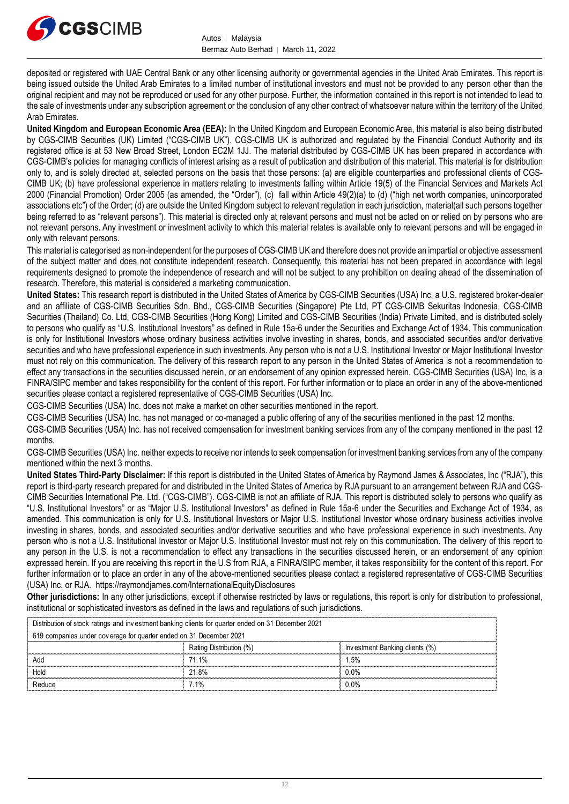

deposited or registered with UAE Central Bank or any other licensing authority or governmental agencies in the United Arab Emirates. This report is being issued outside the United Arab Emirates to a limited number of institutional investors and must not be provided to any person other than the original recipient and may not be reproduced or used for any other purpose. Further, the information contained in this report is not intended to lead to the sale of investments under any subscription agreement or the conclusion of any other contract of whatsoever nature within the territory of the United Arab Emirates.

**United Kingdom and European Economic Area (EEA):** In the United Kingdom and European Economic Area, this material is also being distributed by CGS-CIMB Securities (UK) Limited ("CGS-CIMB UK"). CGS-CIMB UK is authorized and regulated by the Financial Conduct Authority and its registered office is at 53 New Broad Street, London EC2M 1JJ. The material distributed by CGS-CIMB UK has been prepared in accordance with CGS-CIMB's policies for managing conflicts of interest arising as a result of publication and distribution of this material. This material is for distribution only to, and is solely directed at, selected persons on the basis that those persons: (a) are eligible counterparties and professional clients of CGS-CIMB UK; (b) have professional experience in matters relating to investments falling within Article 19(5) of the Financial Services and Markets Act 2000 (Financial Promotion) Order 2005 (as amended, the "Order"), (c) fall within Article 49(2)(a) to (d) ("high net worth companies, unincorporated associations etc") of the Order; (d) are outside the United Kingdom subject to relevant regulation in each jurisdiction, material(all such persons together being referred to as "relevant persons"). This material is directed only at relevant persons and must not be acted on or relied on by persons who are not relevant persons. Any investment or investment activity to which this material relates is available only to relevant persons and will be engaged in only with relevant persons.

This material is categorised as non-independent for the purposes of CGS-CIMB UK and therefore does not provide an impartial or objective assessment of the subject matter and does not constitute independent research. Consequently, this material has not been prepared in accordance with legal requirements designed to promote the independence of research and will not be subject to any prohibition on dealing ahead of the dissemination of research. Therefore, this material is considered a marketing communication.

**United States:** This research report is distributed in the United States of America by CGS-CIMB Securities (USA) Inc, a U.S. registered broker-dealer and an affiliate of CGS-CIMB Securities Sdn. Bhd., CGS-CIMB Securities (Singapore) Pte Ltd, PT CGS-CIMB Sekuritas Indonesia, CGS-CIMB Securities (Thailand) Co. Ltd, CGS-CIMB Securities (Hong Kong) Limited and CGS-CIMB Securities (India) Private Limited, and is distributed solely to persons who qualify as "U.S. Institutional Investors" as defined in Rule 15a-6 under the Securities and Exchange Act of 1934. This communication is only for Institutional Investors whose ordinary business activities involve investing in shares, bonds, and associated securities and/or derivative securities and who have professional experience in such investments. Any person who is not a U.S. Institutional Investor or Major Institutional Investor must not rely on this communication. The delivery of this research report to any person in the United States of America is not a recommendation to effect any transactions in the securities discussed herein, or an endorsement of any opinion expressed herein. CGS-CIMB Securities (USA) Inc, is a FINRA/SIPC member and takes responsibility for the content of this report. For further information or to place an order in any of the above-mentioned securities please contact a registered representative of CGS-CIMB Securities (USA) Inc.

CGS-CIMB Securities (USA) Inc. does not make a market on other securities mentioned in the report.

CGS-CIMB Securities (USA) Inc. has not managed or co-managed a public offering of any of the securities mentioned in the past 12 months.

CGS-CIMB Securities (USA) Inc. has not received compensation for investment banking services from any of the company mentioned in the past 12 months.

CGS-CIMB Securities (USA) Inc. neither expects to receive nor intends to seek compensation for investment banking services from any of the company mentioned within the next 3 months.

**United States Third-Party Disclaimer:** If this report is distributed in the United States of America by Raymond James & Associates, Inc ("RJA"), this report is third-party research prepared for and distributed in the United States of America by RJA pursuant to an arrangement between RJA and CGS-CIMB Securities International Pte. Ltd. ("CGS-CIMB"). CGS-CIMB is not an affiliate of RJA. This report is distributed solely to persons who qualify as "U.S. Institutional Investors" or as "Major U.S. Institutional Investors" as defined in Rule 15a-6 under the Securities and Exchange Act of 1934, as amended. This communication is only for U.S. Institutional Investors or Major U.S. Institutional Investor whose ordinary business activities involve investing in shares, bonds, and associated securities and/or derivative securities and who have professional experience in such investments. Any person who is not a U.S. Institutional Investor or Major U.S. Institutional Investor must not rely on this communication. The delivery of this report to any person in the U.S. is not a recommendation to effect any transactions in the securities discussed herein, or an endorsement of any opinion expressed herein. If you are receiving this report in the U.S from RJA, a FINRA/SIPC member, it takes responsibility for the content of this report. For further information or to place an order in any of the above-mentioned securities please contact a registered representative of CGS-CIMB Securities (USA) Inc. or RJA. <https://raymondjames.com/InternationalEquityDisclosures>

**Other jurisdictions:** In any other jurisdictions, except if otherwise restricted by laws or regulations, this report is only for distribution to professional, institutional or sophisticated investors as defined in the laws and regulations of such jurisdictions. JSA) Inc. or RJA. https://raymondjames.com/InternationalEquityDisclosures<br> **ther jurisdictions:** In any other jurisdictions, except if otherwise restricted by laws<br>
stitutional or sophisticated investors as defined in the

| <b>Other jurisdictions:</b> In any other jurisdictions, except if otherwise restricted by laws or regulations, this report is only for distribution to<br>institutional or sophisticated investors as defined in the laws and regulations of such jurisdictions. |                         |                                |  |  |  |
|------------------------------------------------------------------------------------------------------------------------------------------------------------------------------------------------------------------------------------------------------------------|-------------------------|--------------------------------|--|--|--|
| Distribution of stock ratings and investment banking clients for quarter ended on 31 December 2021                                                                                                                                                               |                         |                                |  |  |  |
| 619 companies under coverage for quarter ended on 31 December 2021                                                                                                                                                                                               |                         |                                |  |  |  |
|                                                                                                                                                                                                                                                                  | Rating Distribution (%) | Investment Banking clients (%) |  |  |  |
| Add                                                                                                                                                                                                                                                              | 71.1%                   | l 5%                           |  |  |  |
| Hold                                                                                                                                                                                                                                                             | 21.8%                   | $0.0\%$                        |  |  |  |
| Reduce                                                                                                                                                                                                                                                           | 7 1%                    | በ በ%                           |  |  |  |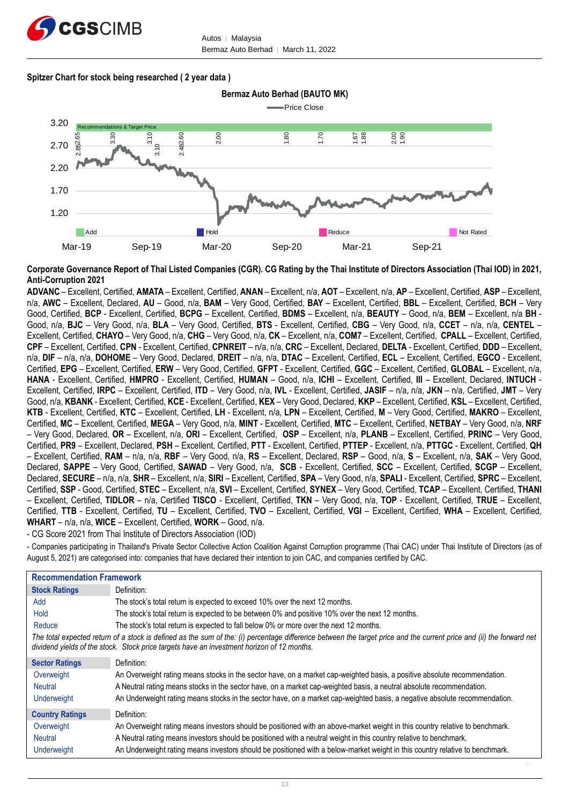

#### **Spitzer Chart for stock being researched ( 2 year data )**



**Corporate Governance Report of Thai Listed Companies (CGR). CG Rating by the Thai Institute of Directors Association (Thai IOD) in 2021, Anti-Corruption 2021**

**ADVANC** – Excellent, Certified, **AMATA** – Excellent, Certified, **ANAN** – Excellent, n/a, **AOT** – Excellent, n/a, **AP** – Excellent, Certified, **ASP** – Excellent, n/a, **AWC** – Excellent, Declared, **AU** – Good, n/a, **BAM** – Very Good, Certified, **BAY** – Excellent, Certified, **BBL** – Excellent, Certified, **BCH** – Very Good, Certified, **BCP** - Excellent, Certified, **BCPG** – Excellent, Certified, **BDMS** – Excellent, n/a, **BEAUTY** – Good, n/a, **BEM** – Excellent, n/a **BH** - Good, n/a, **BJC** – Very Good, n/a, **BLA** – Very Good, Certified, **BTS** - Excellent, Certified, **CBG** – Very Good, n/a, **CCET** – n/a, n/a, **CENTEL** – Excellent, Certified, **CHAYO** – Very Good, n/a, **CHG** – Very Good, n/a, **CK** – Excellent, n/a, **COM7** – Excellent, Certified, **CPALL** – Excellent, Certified, **CPF** – Excellent, Certified, **CPN** - Excellent, Certified, **CPNREIT** – n/a, n/a, **CRC** – Excellent, Declared, **DELTA** - Excellent, Certified, **DDD** – Excellent, n/a, **DIF** – n/a, n/a, **DOHOME** – Very Good, Declared, **DREIT** – n/a, n/a, **DTAC** – Excellent, Certified, **ECL** – Excellent, Certified, **EGCO** - Excellent, Certified, **EPG** – Excellent, Certified, **ERW** – Very Good, Certified, **GFPT** - Excellent, Certified, **GGC** – Excellent, Certified, **GLOBAL** – Excellent, n/a, **HANA** - Excellent, Certified, **HMPRO** - Excellent, Certified, **HUMAN** – Good, n/a, **ICHI** – Excellent, Certified, **III** – Excellent, Declared, **INTUCH** - Excellent, Certified, **IRPC** – Excellent, Certified, **ITD** – Very Good, n/a, **IVL** - Excellent, Certified, **JASIF** – n/a, n/a, **JKN** – n/a, Certified, **JMT** – Very Good, n/a, **KBANK** - Excellent, Certified, **KCE** - Excellent, Certified, **KEX** – Very Good, Declared, **KKP** – Excellent, Certified, **KSL** – Excellent, Certified, **KTB** - Excellent, Certified, **KTC** – Excellent, Certified, **LH** - Excellent, n/a, **LPN** – Excellent, Certified, **M** – Very Good, Certified, **MAKRO** – Excellent, Certified, **MC** – Excellent, Certified, **MEGA** – Very Good, n/a, **MINT** - Excellent, Certified, **MTC** – Excellent, Certified, **NETBAY** – Very Good, n/a, **NRF** – Very Good, Declared, **OR** – Excellent, n/a, **ORI** – Excellent, Certified, **OSP** – Excellent, n/a, **PLANB** – Excellent, Certified, **PRINC** – Very Good, Certified, **PR9** – Excellent, Declared, **PSH** – Excellent, Certified, **PTT** - Excellent, Certified, **PTTEP** - Excellent, n/a, **PTTGC** - Excellent, Certified, **QH** – Excellent, Certified, **RAM** – n/a, n/a, **RBF** – Very Good, n/a, **RS** – Excellent, Declared, **RSP** – Good, n/a, **S** – Excellent, n/a, **SAK** – Very Good, Declared, **SAPPE** – Very Good, Certified, **SAWAD** – Very Good, n/a, **SCB** - Excellent, Certified, **SCC** – Excellent, Certified, **SCGP** – Excellent, Declared, **SECURE** – n/a, n/a, **SHR** – Excellent, n/a, **SIRI** – Excellent, Certified, **SPA** – Very Good, n/a, **SPALI** - Excellent, Certified, **SPRC** – Excellent, Certified, **SSP** - Good, Certified, **STEC** – Excellent, n/a, **SVI** – Excellent, Certified, **SYNEX** – Very Good, Certified, **TCAP** – Excellent, Certified, **THANI** – Excellent, Certified, **TIDLOR** – n/a, Certified **TISCO** - Excellent, Certified, **TKN** – Very Good, n/a, **TOP** - Excellent, Certified, **TRUE** – Excellent, Certified, **TTB** - Excellent, Certified, **TU** – Excellent, Certified, **TVO** – Excellent, Certified, **VGI** – Excellent, Certified, **WHA** – Excellent, Certified, **WHART** – n/a, n/a, **WICE** – Excellent, Certified, **WORK** – Good, n/a.

- CG Score 2021 from Thai Institute of Directors Association (IOD)

- Companies participating in Thailand's Private Sector Collective Action Coalition Against Corruption programme (Thai CAC) under Thai Institute of Directors (as of August 5, 2021) are categorised into: companies that have declared their intention to join CAC, and companies certified by CAC.

| <b>Recommendation Framework</b> |                                                                                                                                                                                                                                                                    |
|---------------------------------|--------------------------------------------------------------------------------------------------------------------------------------------------------------------------------------------------------------------------------------------------------------------|
| <b>Stock Ratings</b>            | Definition:                                                                                                                                                                                                                                                        |
| Add                             | The stock's total return is expected to exceed 10% over the next 12 months.                                                                                                                                                                                        |
| Hold                            | The stock's total return is expected to be between 0% and positive 10% over the next 12 months.                                                                                                                                                                    |
| Reduce                          | The stock's total return is expected to fall below 0% or more over the next 12 months.                                                                                                                                                                             |
|                                 | The total expected return of a stock is defined as the sum of the: (i) percentage difference between the target price and the current price and (ii) the forward net<br>dividend yields of the stock. Stock price targets have an investment horizon of 12 months. |
| <b>Sector Ratings</b>           | Definition:                                                                                                                                                                                                                                                        |
| Overweight                      | An Overweight rating means stocks in the sector have, on a market cap-weighted basis, a positive absolute recommendation.                                                                                                                                          |
| <b>Neutral</b>                  | A Neutral rating means stocks in the sector have, on a market cap-weighted basis, a neutral absolute recommendation.                                                                                                                                               |
| <b>Underweight</b>              | An Underweight rating means stocks in the sector have, on a market cap-weighted basis, a negative absolute recommendation.                                                                                                                                         |
| <b>Country Ratings</b>          | Definition:                                                                                                                                                                                                                                                        |
| Overweight                      | An Overweight rating means investors should be positioned with an above-market weight in this country relative to benchmark.                                                                                                                                       |
| <b>Neutral</b>                  | A Neutral rating means investors should be positioned with a neutral weight in this country relative to benchmark.                                                                                                                                                 |
| <b>Underweight</b>              | An Underweight rating means investors should be positioned with a below-market weight in this country relative to benchmark.                                                                                                                                       |